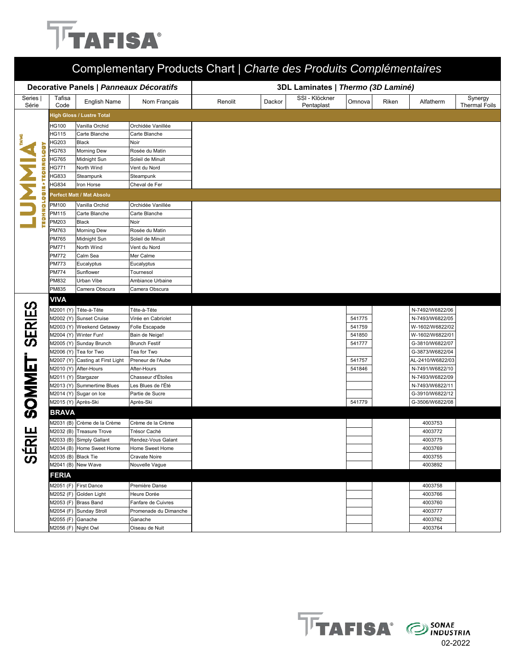## **TFAFISA**

| Complementary Products Chart   Charte des Produits Complémentaires |                     |                                                      |                                       |                                    |        |                              |        |       |                                    |                                 |  |
|--------------------------------------------------------------------|---------------------|------------------------------------------------------|---------------------------------------|------------------------------------|--------|------------------------------|--------|-------|------------------------------------|---------------------------------|--|
| Decorative Panels   Panneaux Décoratifs                            |                     |                                                      |                                       | 3DL Laminates   Thermo (3D Laminé) |        |                              |        |       |                                    |                                 |  |
| Series<br>Série                                                    | Tafisa<br>Code      | English Name                                         | Nom Français                          | Renolit                            | Dackor | SSI - Klöckner<br>Pentaplast | Omnova | Riken | Alfatherm                          | Synergy<br><b>Thermal Foils</b> |  |
|                                                                    |                     | <b>High Gloss / Lustre Total</b>                     |                                       |                                    |        |                              |        |       |                                    |                                 |  |
|                                                                    | HG100               | Vanilla Orchid                                       | Orchidée Vanillée                     |                                    |        |                              |        |       |                                    |                                 |  |
|                                                                    | HG115               | Carte Blanche                                        | Carte Blanche                         |                                    |        |                              |        |       |                                    |                                 |  |
|                                                                    | HG203               | Black                                                | Noir                                  |                                    |        |                              |        |       |                                    |                                 |  |
|                                                                    | HG763               | Morning Dew                                          | Rosée du Matin                        |                                    |        |                              |        |       |                                    |                                 |  |
|                                                                    | HG765               | Midnight Sun                                         | Soleil de Minuit                      |                                    |        |                              |        |       |                                    |                                 |  |
|                                                                    | HG771               | North Wind                                           | Vent du Nord                          |                                    |        |                              |        |       |                                    |                                 |  |
|                                                                    | HG833               | Steampunk                                            | Steampunk                             |                                    |        |                              |        |       |                                    |                                 |  |
| ã                                                                  | <b>HG834</b>        | Iron Horse                                           | Cheval de Fer                         |                                    |        |                              |        |       |                                    |                                 |  |
|                                                                    |                     | Perfect Matt / Mat Absolu                            |                                       |                                    |        |                              |        |       |                                    |                                 |  |
| o                                                                  | PM100               | Vanilla Orchid                                       | Orchidée Vanillée                     |                                    |        |                              |        |       |                                    |                                 |  |
| ā                                                                  | PM115               | Carte Blanche                                        | Carte Blanche                         |                                    |        |                              |        |       |                                    |                                 |  |
|                                                                    | PM203               | <b>Black</b>                                         | Noir                                  |                                    |        |                              |        |       |                                    |                                 |  |
|                                                                    | PM763               | Morning Dew                                          | Rosée du Matin                        |                                    |        |                              |        |       |                                    |                                 |  |
|                                                                    | PM765               | Midnight Sun                                         | Soleil de Minuit                      |                                    |        |                              |        |       |                                    |                                 |  |
|                                                                    | PM771               | North Wind                                           | Vent du Nord                          |                                    |        |                              |        |       |                                    |                                 |  |
|                                                                    | <b>PM772</b>        | Calm Sea                                             | Mer Calme                             |                                    |        |                              |        |       |                                    |                                 |  |
|                                                                    | <b>PM773</b>        | Eucalyptus                                           | Eucalyptus                            |                                    |        |                              |        |       |                                    |                                 |  |
|                                                                    | <b>PM774</b>        | Sunflower                                            | Tournesol                             |                                    |        |                              |        |       |                                    |                                 |  |
|                                                                    | PM832               | Urban Vibe                                           | Ambiance Urbaine                      |                                    |        |                              |        |       |                                    |                                 |  |
|                                                                    | PM835               | Camera Obscura                                       | Camera Obscura                        |                                    |        |                              |        |       |                                    |                                 |  |
|                                                                    | <b>VIVA</b>         |                                                      |                                       |                                    |        |                              |        |       |                                    |                                 |  |
|                                                                    |                     | M2001 (Y) Tête-à-Tête                                | Tête-à-Tête                           |                                    |        |                              |        |       | N-7492/W6822/06                    |                                 |  |
|                                                                    | M2002 (Y)           | <b>Sunset Cruise</b>                                 | Virée en Cabriolet                    |                                    |        |                              | 541775 |       | N-7493/W6822/05                    |                                 |  |
|                                                                    |                     | M2003 (Y) Weekend Getaway                            | Folle Escapade                        |                                    |        |                              | 541759 |       | W-1602/W6822/02                    |                                 |  |
| <b>SERIES</b>                                                      |                     | M2004 (Y) Winter Fun!                                | Bain de Neige!                        |                                    |        |                              | 541850 |       | W-1602/W6822/01                    |                                 |  |
|                                                                    |                     | M2005 (Y) Sunday Brunch                              | <b>Brunch Festif</b>                  |                                    |        |                              | 541777 |       | G-3810/W6822/07                    |                                 |  |
|                                                                    |                     | M2006 (Y) Tea for Two                                | Tea for Two                           |                                    |        |                              |        |       | G-3873/W6822/04                    |                                 |  |
|                                                                    |                     | M2007 (Y) Casting at First Light                     | Preneur de l'Aube                     |                                    |        |                              | 541757 |       | AL-2410/W6822/03                   |                                 |  |
|                                                                    |                     | M2010 (Y) After-Hours                                | After-Hours                           |                                    |        |                              | 541846 |       | N-7491/W6822/10                    |                                 |  |
|                                                                    | M2011 (Y) Stargazer |                                                      | Chasseur d'Étoiles                    |                                    |        |                              |        |       | N-7493/W6822/09                    |                                 |  |
|                                                                    |                     | M2013 (Y) Summertime Blues<br>M2014 (Y) Sugar on Ice | Les Blues de l'Été<br>Partie de Sucre |                                    |        |                              |        |       | N-7493/W6822/11<br>G-3910/W6822/12 |                                 |  |
|                                                                    | M2015 (Y) Après-Ski |                                                      | Après-Ski                             |                                    |        |                              | 541779 |       | G-3506/W6822/08                    |                                 |  |
| <b>SOMMET</b>                                                      | <b>BRAVA</b>        |                                                      |                                       |                                    |        |                              |        |       |                                    |                                 |  |
|                                                                    |                     | M2031 (B) Crème de la Crème                          | Crème de la Crème                     |                                    |        |                              |        |       | 4003753                            |                                 |  |
| щ                                                                  |                     | M2032 (B) Treasure Trove                             | Trésor Caché                          |                                    |        |                              |        |       | 4003772                            |                                 |  |
|                                                                    |                     | M2033 (B) Simply Gallant                             | Rendez-Vous Galant                    |                                    |        |                              |        |       | 4003775                            |                                 |  |
| ΕŔ                                                                 |                     | M2034 (B) Home Sweet Home                            | Home Sweet Home                       |                                    |        |                              |        |       | 4003769                            |                                 |  |
|                                                                    | M2035 (B) Black Tie |                                                      | <b>Cravate Noire</b>                  |                                    |        |                              |        |       | 4003755                            |                                 |  |
|                                                                    |                     | M2041 (B) New Wave                                   | Nouvelle Vague                        |                                    |        |                              |        |       | 4003892                            |                                 |  |
|                                                                    | <b>FERIA</b>        |                                                      |                                       |                                    |        |                              |        |       |                                    |                                 |  |
|                                                                    |                     | M2051 (F) First Dance                                | Première Danse                        |                                    |        |                              |        |       | 4003758                            |                                 |  |
|                                                                    |                     | M2052 (F) Golden Light                               | Heure Dorée                           |                                    |        |                              |        |       | 4003766                            |                                 |  |
|                                                                    |                     | M2053 (F) Brass Band                                 | Fanfare de Cuivres                    |                                    |        |                              |        |       | 4003760                            |                                 |  |
|                                                                    |                     | M2054 (F) Sunday Stroll                              | Promenade du Dimanche                 |                                    |        |                              |        |       | 4003777                            |                                 |  |
|                                                                    | M2055 (F) Ganache   |                                                      | Ganache                               |                                    |        |                              |        |       | 4003762                            |                                 |  |
|                                                                    | M2056 (F) Night Owl |                                                      | Oiseau de Nuit                        |                                    |        |                              |        |       | 4003764                            |                                 |  |
|                                                                    |                     |                                                      |                                       |                                    |        |                              |        |       |                                    |                                 |  |

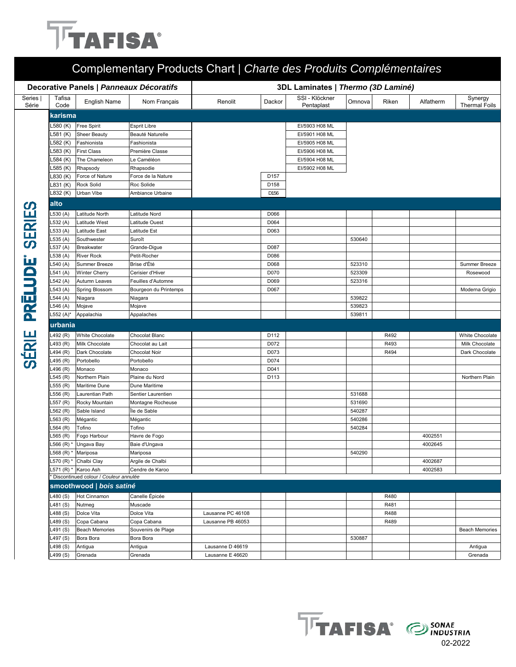## **TFAFISA®**

|                 |                        | Decorative Panels   Panneaux Décoratifs |                                   |                   | 3DL Laminates   Thermo (3D Laminé) |                              |                  |       |           |                                 |  |
|-----------------|------------------------|-----------------------------------------|-----------------------------------|-------------------|------------------------------------|------------------------------|------------------|-------|-----------|---------------------------------|--|
| Series<br>Série | Tafisa<br>Code         | <b>English Name</b>                     | Nom Français                      | Renolit           | Dackor                             | SSI - Klöckner<br>Pentaplast | Omnova           | Riken | Alfatherm | Synergy<br><b>Thermal Foils</b> |  |
|                 | karisma                |                                         |                                   |                   |                                    |                              |                  |       |           |                                 |  |
|                 | .580 (K)               | <b>Free Spirit</b>                      | <b>Esprit Libre</b>               |                   |                                    | EI/5903 H08 ML               |                  |       |           |                                 |  |
|                 | .581 (K)               | <b>Sheer Beauty</b>                     | Beauté Naturelle                  |                   |                                    | EI/5901 H08 ML               |                  |       |           |                                 |  |
|                 | .582 (K)               | Fashionista                             | Fashionista                       |                   |                                    | EI/5905 H08 ML               |                  |       |           |                                 |  |
|                 | .583 (K)               | <b>First Class</b>                      | Première Classe                   |                   |                                    | EI/5906 H08 ML               |                  |       |           |                                 |  |
|                 | .584 (K)               | The Chameleon                           | Le Caméléon                       |                   |                                    | EI/5904 H08 ML               |                  |       |           |                                 |  |
|                 | .585 (K)               | Rhapsody                                | Rhapsodie                         |                   |                                    | EI/5902 H08 ML               |                  |       |           |                                 |  |
|                 | .830 (K)               | Force of Nature                         | Force de la Nature                |                   | D157                               |                              |                  |       |           |                                 |  |
|                 | L831 (K)               | <b>Rock Solid</b>                       | Roc Solide                        |                   | D158                               |                              |                  |       |           |                                 |  |
|                 | L832 (K)               | Urban Vibe                              | Ambiance Urbaine                  |                   | D156                               |                              |                  |       |           |                                 |  |
| <b>SERIES</b>   | alto                   |                                         |                                   |                   |                                    |                              |                  |       |           |                                 |  |
|                 | L530 (A)               | Latitude North                          | Latitude Nord                     |                   | D066                               |                              |                  |       |           |                                 |  |
|                 | $-532(A)$              | Latitude West                           | Latitude Ouest                    |                   | D064                               |                              |                  |       |           |                                 |  |
|                 | _533(A)                | Latitude East                           | Latitude Est                      |                   | D063                               |                              |                  |       |           |                                 |  |
|                 | _535 (A)               | Southwester                             | Suroît                            |                   |                                    |                              | 530640           |       |           |                                 |  |
|                 | <sub>-</sub> 537 (A)   | Breakwater                              | Grande-Digue                      |                   | D087                               |                              |                  |       |           |                                 |  |
| PRĒLUDE         | _538 (A)               | <b>River Rock</b>                       | Petit-Rocher                      |                   | D086                               |                              |                  |       |           |                                 |  |
|                 | $-540(A)$<br>.541 (A)  | Summer Breeze<br><b>Winter Cherry</b>   | Brise d'Été<br>Cerisier d'Hiver   |                   | D068<br>D070                       |                              | 523310<br>523309 |       |           | Summer Breeze<br>Rosewood       |  |
|                 | <sub>-</sub> 542 (A)   | Autumn Leaves                           | Feuilles d'Automne                |                   | D069                               |                              | 523316           |       |           |                                 |  |
|                 | $-543(A)$              | <b>Spring Blossom</b>                   | Bourgeon du Printemps             |                   | D067                               |                              |                  |       |           | Moderna Grigio                  |  |
|                 | .544 (A)               | Niagara                                 | Niagara                           |                   |                                    |                              | 539822           |       |           |                                 |  |
|                 | <sub>-</sub> 546 (A)   | Mojave                                  | Mojave                            |                   |                                    |                              | 539823           |       |           |                                 |  |
|                 | L552 (A)*              | Appalachia                              | Appalaches                        |                   |                                    |                              | 539811           |       |           |                                 |  |
|                 | urbania                |                                         |                                   |                   |                                    |                              |                  |       |           |                                 |  |
| SÉRIE           | <sub>-</sub> 492 (R)   | White Chocolate                         | Chocolat Blanc                    |                   | D112                               |                              |                  | R492  |           | <b>White Chocolate</b>          |  |
|                 | L493 (R)               | Milk Chocolate                          | Chocolat au Lait                  |                   | D072                               |                              |                  | R493  |           | Milk Chocolate                  |  |
|                 | _494 (R)               | Dark Chocolate                          | <b>Chocolat Noir</b>              |                   | D073                               |                              |                  | R494  |           | Dark Chocolate                  |  |
|                 | L495 (R)               | Portobello                              | Portobello                        |                   | D074                               |                              |                  |       |           |                                 |  |
|                 | 496 (R)                | Monaco                                  | Monaco                            |                   | D041                               |                              |                  |       |           |                                 |  |
|                 | .545 (R)               | Northern Plain                          | Plaine du Nord                    |                   | D113                               |                              |                  |       |           | Northern Plain                  |  |
|                 | _555 (R)               | Maritime Dune                           | Dune Maritime                     |                   |                                    |                              |                  |       |           |                                 |  |
|                 | .556 (R)               | Laurentian Path                         | Sentier Laurentien                |                   |                                    |                              | 531688           |       |           |                                 |  |
|                 | .557 (R)               | Rocky Mountain                          | Montagne Rocheuse<br>Île de Sable |                   |                                    |                              | 531690           |       |           |                                 |  |
|                 | $-562$ (R)<br>.563 (R) | Sable Island<br>Mégantic                |                                   |                   |                                    |                              | 540287<br>540286 |       |           |                                 |  |
|                 | <sub>-</sub> 564 (R)   | Tofino                                  | Mégantic<br>Tofino                |                   |                                    |                              | 540284           |       |           |                                 |  |
|                 | L565 (R)               | Fogo Harbour                            | Havre de Fogo                     |                   |                                    |                              |                  |       | 4002551   |                                 |  |
|                 |                        | _566 (R) * Ungava Bay                   | Baie d'Ungava                     |                   |                                    |                              |                  |       | 4002645   |                                 |  |
|                 |                        | _568 (R) * Mariposa                     | Mariposa                          |                   |                                    |                              | 540290           |       |           |                                 |  |
|                 |                        | _570 (R) * Chalbi Clay                  | Argile de Chalbi                  |                   |                                    |                              |                  |       | 4002687   |                                 |  |
|                 |                        | _571 (R) * Karoo Ash                    | Cendre de Karoo                   |                   |                                    |                              |                  |       | 4002583   |                                 |  |
|                 |                        | * Discontinued colour / Couleur annulée |                                   |                   |                                    |                              |                  |       |           |                                 |  |
|                 |                        | smoothwood   bois satiné                |                                   |                   |                                    |                              |                  |       |           |                                 |  |
|                 | L480 (S)               | Hot Cinnamon                            | Canelle Épicée                    |                   |                                    |                              |                  | R480  |           |                                 |  |
|                 | L481 (S)               | Nutmeg                                  | Muscade                           |                   |                                    |                              |                  | R481  |           |                                 |  |
|                 | L488 (S)               | Dolce Vita                              | Dolce Vita                        | Lausanne PC 46108 |                                    |                              |                  | R488  |           |                                 |  |
|                 | L489 (S)               | Copa Cabana                             | Copa Cabana                       | Lausanne PB 46053 |                                    |                              |                  | R489  |           |                                 |  |
|                 | _491 (S)               | <b>Beach Memories</b>                   | Souvenirs de Plage                |                   |                                    |                              |                  |       |           | <b>Beach Memories</b>           |  |
|                 | L497 (S)               | Bora Bora                               | Bora Bora                         |                   |                                    |                              | 530887           |       |           |                                 |  |
|                 |                        | Antigua                                 | Antigua                           | Lausanne D 46619  |                                    |                              |                  |       |           | Antigua                         |  |
|                 | L498 (S)<br>L499 (S)   | Grenada                                 | Grenada                           | Lausanne E 46620  |                                    |                              |                  |       |           | Grenada                         |  |